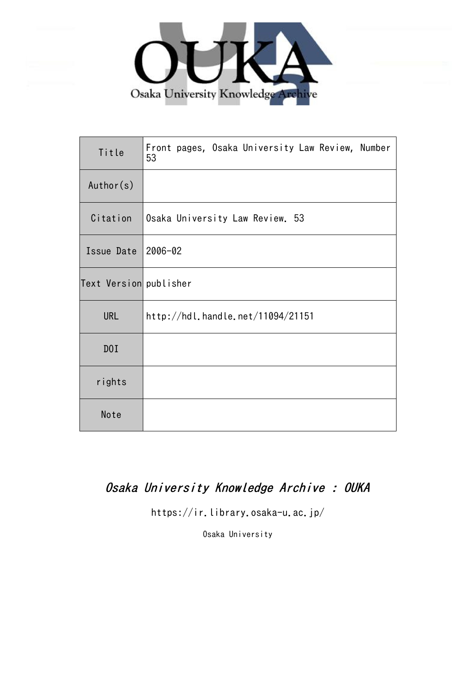

| Title                  | Front pages, Osaka University Law Review, Number<br>53 |  |  |
|------------------------|--------------------------------------------------------|--|--|
| Author(s)              |                                                        |  |  |
| Citation               | Osaka University Law Review. 53                        |  |  |
| Issue Date             | $ 2006 - 02$                                           |  |  |
| Text Version publisher |                                                        |  |  |
| <b>URL</b>             | http://hdl.handle.net/11094/21151                      |  |  |
| DOI                    |                                                        |  |  |
| rights                 |                                                        |  |  |
| Note                   |                                                        |  |  |

## Osaka University Knowledge Archive : OUKA

https://ir.library.osaka-u.ac.jp/

Osaka University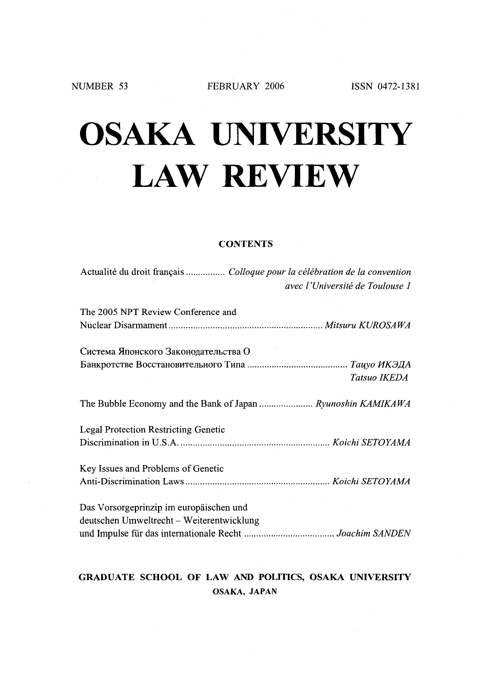FEBRUARY 2006 ISSN 0472-1381

# OSAKA UNIVERSIT LAW REVIEW

### **CONTENTS**

| Actualité du droit français  Colloque pour la célébration de la convention | avec l'Université de Toulouse 1 |
|----------------------------------------------------------------------------|---------------------------------|
| The 2005 NPT Review Conference and                                         |                                 |
|                                                                            |                                 |
| Система Японского Законодательства О                                       |                                 |
|                                                                            |                                 |
|                                                                            | Tatsuo IKEDA                    |
|                                                                            |                                 |
| <b>Legal Protection Restricting Genetic</b>                                |                                 |
|                                                                            |                                 |
| Key Issues and Problems of Genetic                                         |                                 |
|                                                                            |                                 |
| Das Vorsorgeprinzip im europäischen und                                    |                                 |
| deutschen Umweltrecht – Weiterentwicklung                                  |                                 |
|                                                                            |                                 |

### GRADUATE SCHOOL OF LAW AND POLITICS, OSAKA UNIVERSITY OSAKA, JAPAN